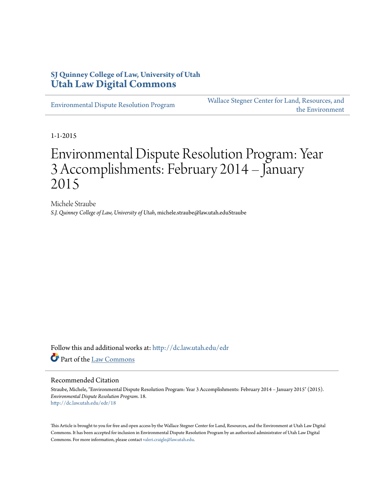# **SJ Quinney College of Law, University of Utah [Utah Law Digital Commons](http://dc.law.utah.edu?utm_source=dc.law.utah.edu%2Fedr%2F18&utm_medium=PDF&utm_campaign=PDFCoverPages)**

[Environmental Dispute Resolution Program](http://dc.law.utah.edu/edr?utm_source=dc.law.utah.edu%2Fedr%2F18&utm_medium=PDF&utm_campaign=PDFCoverPages)

[Wallace Stegner Center for Land, Resources, and](http://dc.law.utah.edu/stegner?utm_source=dc.law.utah.edu%2Fedr%2F18&utm_medium=PDF&utm_campaign=PDFCoverPages) [the Environment](http://dc.law.utah.edu/stegner?utm_source=dc.law.utah.edu%2Fedr%2F18&utm_medium=PDF&utm_campaign=PDFCoverPages)

1-1-2015

# Environmental Dispute Resolution Program: Year 3 Accomplishments: February 2014 – January 2015

Michele Straube *S.J. Quinney College of Law, University of Utah*, michele.straube@law.utah.eduStraube

Follow this and additional works at: [http://dc.law.utah.edu/edr](http://dc.law.utah.edu/edr?utm_source=dc.law.utah.edu%2Fedr%2F18&utm_medium=PDF&utm_campaign=PDFCoverPages) Part of the [Law Commons](http://network.bepress.com/hgg/discipline/578?utm_source=dc.law.utah.edu%2Fedr%2F18&utm_medium=PDF&utm_campaign=PDFCoverPages)

#### Recommended Citation

Straube, Michele, "Environmental Dispute Resolution Program: Year 3 Accomplishments: February 2014 – January 2015" (2015). *Environmental Dispute Resolution Program*. 18. [http://dc.law.utah.edu/edr/18](http://dc.law.utah.edu/edr/18?utm_source=dc.law.utah.edu%2Fedr%2F18&utm_medium=PDF&utm_campaign=PDFCoverPages)

This Article is brought to you for free and open access by the Wallace Stegner Center for Land, Resources, and the Environment at Utah Law Digital Commons. It has been accepted for inclusion in Environmental Dispute Resolution Program by an authorized administrator of Utah Law Digital Commons. For more information, please contact [valeri.craigle@law.utah.edu](mailto:valeri.craigle@law.utah.edu).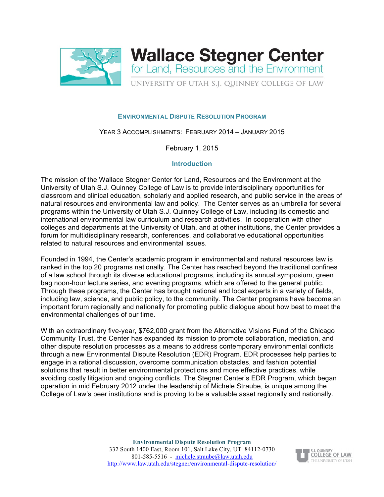



#### **ENVIRONMENTAL DISPUTE RESOLUTION PROGRAM**

YEAR 3 ACCOMPLISHMENTS: FEBRUARY 2014 – JANUARY 2015

February 1, 2015

#### **Introduction**

The mission of the Wallace Stegner Center for Land, Resources and the Environment at the University of Utah S.J. Quinney College of Law is to provide interdisciplinary opportunities for classroom and clinical education, scholarly and applied research, and public service in the areas of natural resources and environmental law and policy. The Center serves as an umbrella for several programs within the University of Utah S.J. Quinney College of Law, including its domestic and international environmental law curriculum and research activities. In cooperation with other colleges and departments at the University of Utah, and at other institutions, the Center provides a forum for multidisciplinary research, conferences, and collaborative educational opportunities related to natural resources and environmental issues.

Founded in 1994, the Center's academic program in environmental and natural resources law is ranked in the top 20 programs nationally. The Center has reached beyond the traditional confines of a law school through its diverse educational programs, including its annual symposium, green bag noon-hour lecture series, and evening programs, which are offered to the general public. Through these programs, the Center has brought national and local experts in a variety of fields, including law, science, and public policy, to the community. The Center programs have become an important forum regionally and nationally for promoting public dialogue about how best to meet the environmental challenges of our time.

With an extraordinary five-year, \$762,000 grant from the Alternative Visions Fund of the Chicago Community Trust, the Center has expanded its mission to promote collaboration, mediation, and other dispute resolution processes as a means to address contemporary environmental conflicts through a new Environmental Dispute Resolution (EDR) Program. EDR processes help parties to engage in a rational discussion, overcome communication obstacles, and fashion potential solutions that result in better environmental protections and more effective practices, while avoiding costly litigation and ongoing conflicts. The Stegner Center's EDR Program, which began operation in mid February 2012 under the leadership of Michele Straube, is unique among the College of Law's peer institutions and is proving to be a valuable asset regionally and nationally.

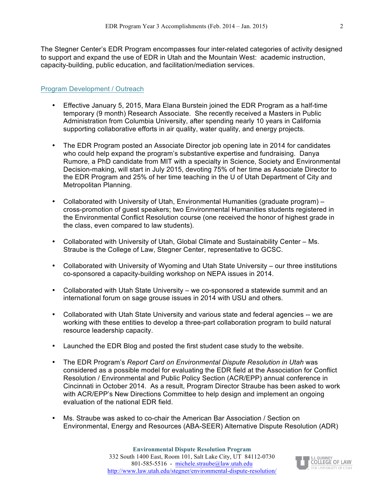The Stegner Center's EDR Program encompasses four inter-related categories of activity designed to support and expand the use of EDR in Utah and the Mountain West: academic instruction, capacity-building, public education, and facilitation/mediation services.

### Program Development / Outreach

- Effective January 5, 2015, Mara Elana Burstein joined the EDR Program as a half-time temporary (9 month) Research Associate. She recently received a Masters in Public Administration from Columbia University, after spending nearly 10 years in California supporting collaborative efforts in air quality, water quality, and energy projects.
- The EDR Program posted an Associate Director job opening late in 2014 for candidates who could help expand the program's substantive expertise and fundraising. Danya Rumore, a PhD candidate from MIT with a specialty in Science, Society and Environmental Decision-making, will start in July 2015, devoting 75% of her time as Associate Director to the EDR Program and 25% of her time teaching in the U of Utah Department of City and Metropolitan Planning.
- Collaborated with University of Utah, Environmental Humanities (graduate program) cross-promotion of guest speakers; two Environmental Humanities students registered in the Environmental Conflict Resolution course (one received the honor of highest grade in the class, even compared to law students).
- Collaborated with University of Utah, Global Climate and Sustainability Center Ms. Straube is the College of Law, Stegner Center, representative to GCSC.
- Collaborated with University of Wyoming and Utah State University our three institutions co-sponsored a capacity-building workshop on NEPA issues in 2014.
- Collaborated with Utah State University we co-sponsored a statewide summit and an international forum on sage grouse issues in 2014 with USU and others.
- Collaborated with Utah State University and various state and federal agencies -- we are working with these entities to develop a three-part collaboration program to build natural resource leadership capacity.
- Launched the EDR Blog and posted the first student case study to the website.
- The EDR Program's *Report Card on Environmental Dispute Resolution in Utah* was considered as a possible model for evaluating the EDR field at the Association for Conflict Resolution / Environmental and Public Policy Section (ACR/EPP) annual conference in Cincinnati in October 2014. As a result, Program Director Straube has been asked to work with ACR/EPP's New Directions Committee to help design and implement an ongoing evaluation of the national EDR field.
- Ms. Straube was asked to co-chair the American Bar Association / Section on Environmental, Energy and Resources (ABA-SEER) Alternative Dispute Resolution (ADR)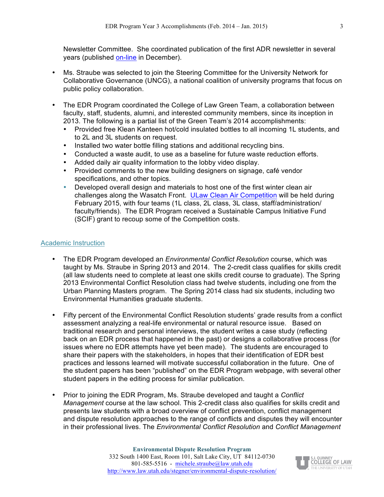Newsletter Committee. She coordinated publication of the first ADR newsletter in several years (published on-line in December).

- Ms. Straube was selected to join the Steering Committee for the University Network for Collaborative Governance (UNCG), a national coalition of university programs that focus on public policy collaboration.
- The EDR Program coordinated the College of Law Green Team, a collaboration between faculty, staff, students, alumni, and interested community members, since its inception in 2013. The following is a partial list of the Green Team's 2014 accomplishments:
	- Provided free Klean Kanteen hot/cold insulated bottles to all incoming 1L students, and to 2L and 3L students on request.
	- Installed two water bottle filling stations and additional recycling bins.
	- Conducted a waste audit, to use as a baseline for future waste reduction efforts.
	- Added daily air quality information to the lobby video display.
	- Provided comments to the new building designers on signage, café vendor specifications, and other topics.
	- Developed overall design and materials to host one of the first winter clean air challenges along the Wasatch Front. ULaw Clean Air Competition will be held during February 2015, with four teams (1L class, 2L class, 3L class, staff/administration/ faculty/friends). The EDR Program received a Sustainable Campus Initiative Fund (SCIF) grant to recoup some of the Competition costs.

#### Academic Instruction

- The EDR Program developed an *Environmental Conflict Resolution* course, which was taught by Ms. Straube in Spring 2013 and 2014. The 2-credit class qualifies for skills credit (all law students need to complete at least one skills credit course to graduate). The Spring 2013 Environmental Conflict Resolution class had twelve students, including one from the Urban Planning Masters program. The Spring 2014 class had six students, including two Environmental Humanities graduate students.
- Fifty percent of the Environmental Conflict Resolution students' grade results from a conflict assessment analyzing a real-life environmental or natural resource issue. Based on traditional research and personal interviews, the student writes a case study (reflecting back on an EDR process that happened in the past) or designs a collaborative process (for issues where no EDR attempts have yet been made). The students are encouraged to share their papers with the stakeholders, in hopes that their identification of EDR best practices and lessons learned will motivate successful collaboration in the future. One of the student papers has been "published" on the EDR Program webpage, with several other student papers in the editing process for similar publication.
- Prior to joining the EDR Program, Ms. Straube developed and taught a *Conflict Management* course at the law school. This 2-credit class also qualifies for skills credit and presents law students with a broad overview of conflict prevention, conflict management and dispute resolution approaches to the range of conflicts and disputes they will encounter in their professional lives. The *Environmental Conflict Resolution* and *Conflict Management*

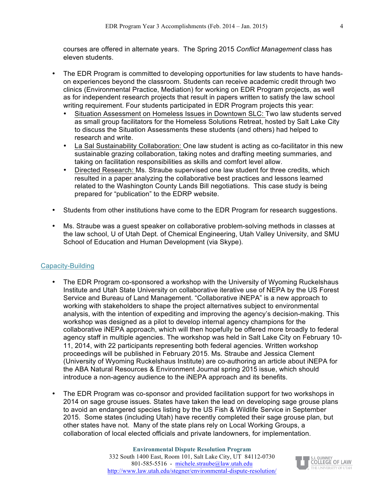courses are offered in alternate years. The Spring 2015 *Conflict Management* class has eleven students.

- The EDR Program is committed to developing opportunities for law students to have handson experiences beyond the classroom. Students can receive academic credit through two clinics (Environmental Practice, Mediation) for working on EDR Program projects, as well as for independent research projects that result in papers written to satisfy the law school writing requirement. Four students participated in EDR Program projects this year:
	- Situation Assessment on Homeless Issues in Downtown SLC: Two law students served as small group facilitators for the Homeless Solutions Retreat, hosted by Salt Lake City to discuss the Situation Assessments these students (and others) had helped to research and write.
	- La Sal Sustainability Collaboration: One law student is acting as co-facilitator in this new sustainable grazing collaboration, taking notes and drafting meeting summaries, and taking on facilitation responsibilities as skills and comfort level allow.
	- Directed Research: Ms. Straube supervised one law student for three credits, which resulted in a paper analyzing the collaborative best practices and lessons learned related to the Washington County Lands Bill negotiations. This case study is being prepared for "publication" to the EDRP website.
- Students from other institutions have come to the EDR Program for research suggestions.
- Ms. Straube was a guest speaker on collaborative problem-solving methods in classes at the law school, U of Utah Dept. of Chemical Engineering, Utah Valley University, and SMU School of Education and Human Development (via Skype).

# Capacity-Building

- The EDR Program co-sponsored a workshop with the University of Wyoming Ruckelshaus Institute and Utah State University on collaborative iterative use of NEPA by the US Forest Service and Bureau of Land Management. "Collaborative iNEPA" is a new approach to working with stakeholders to shape the project alternatives subject to environmental analysis, with the intention of expediting and improving the agency's decision-making. This workshop was designed as a pilot to develop internal agency champions for the collaborative iNEPA approach, which will then hopefully be offered more broadly to federal agency staff in multiple agencies. The workshop was held in Salt Lake City on February 10- 11, 2014, with 22 participants representing both federal agencies. Written workshop proceedings will be published in February 2015. Ms. Straube and Jessica Clement (University of Wyoming Ruckelshaus Institute) are co-authoring an article about iNEPA for the ABA Natural Resources & Environment Journal spring 2015 issue, which should introduce a non-agency audience to the iNEPA approach and its benefits.
- The EDR Program was co-sponsor and provided facilitation support for two workshops in 2014 on sage grouse issues. States have taken the lead on developing sage grouse plans to avoid an endangered species listing by the US Fish & Wildlife Service in September 2015. Some states (including Utah) have recently completed their sage grouse plan, but other states have not. Many of the state plans rely on Local Working Groups, a collaboration of local elected officials and private landowners, for implementation.

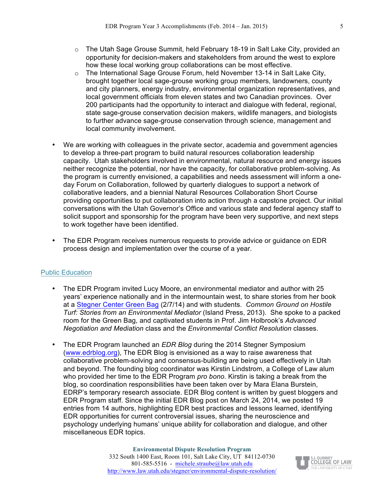- $\circ$  The Utah Sage Grouse Summit, held February 18-19 in Salt Lake City, provided an opportunity for decision-makers and stakeholders from around the west to explore how these local working group collaborations can be most effective.
- $\circ$  The International Sage Grouse Forum, held November 13-14 in Salt Lake City, brought together local sage-grouse working group members, landowners, county and city planners, energy industry, environmental organization representatives, and local government officials from eleven states and two Canadian provinces. Over 200 participants had the opportunity to interact and dialogue with federal, regional, state sage-grouse conservation decision makers, wildlife managers, and biologists to further advance sage-grouse conservation through science, management and local community involvement.
- We are working with colleagues in the private sector, academia and government agencies to develop a three-part program to build natural resources collaboration leadership capacity. Utah stakeholders involved in environmental, natural resource and energy issues neither recognize the potential, nor have the capacity, for collaborative problem-solving. As the program is currently envisioned, a capabilities and needs assessment will inform a oneday Forum on Collaboration, followed by quarterly dialogues to support a network of collaborative leaders, and a biennial Natural Resources Collaboration Short Course providing opportunities to put collaboration into action through a capstone project. Our initial conversations with the Utah Governor's Office and various state and federal agency staff to solicit support and sponsorship for the program have been very supportive, and next steps to work together have been identified.
- The EDR Program receives numerous requests to provide advice or guidance on EDR process design and implementation over the course of a year.

# Public Education

- The EDR Program invited Lucy Moore, an environmental mediator and author with 25 years' experience nationally and in the intermountain west, to share stories from her book at a Stegner Center Green Bag (2/7/14) and with students. *Common Ground on Hostile Turf: Stories from an Environmental Mediator* (Island Press, 2013). She spoke to a packed room for the Green Bag, and captivated students in Prof. Jim Holbrook's *Advanced Negotiation and Mediation* class and the *Environmental Conflict Resolution* classes.
- The EDR Program launched an *EDR Blog* during the 2014 Stegner Symposium (www.edrblog.org), The EDR Blog is envisioned as a way to raise awareness that collaborative problem-solving and consensus-building are being used effectively in Utah and beyond. The founding blog coordinator was Kirstin Lindstrom, a College of Law alum who provided her time to the EDR Program *pro bono*. Kirstin is taking a break from the blog, so coordination responsibilities have been taken over by Mara Elana Burstein, EDRP's temporary research associate. EDR Blog content is written by guest bloggers and EDR Program staff. Since the initial EDR Blog post on March 24, 2014, we posted 19 entries from 14 authors, highlighting EDR best practices and lessons learned, identifying EDR opportunities for current controversial issues, sharing the neuroscience and psychology underlying humans' unique ability for collaboration and dialogue, and other miscellaneous EDR topics.

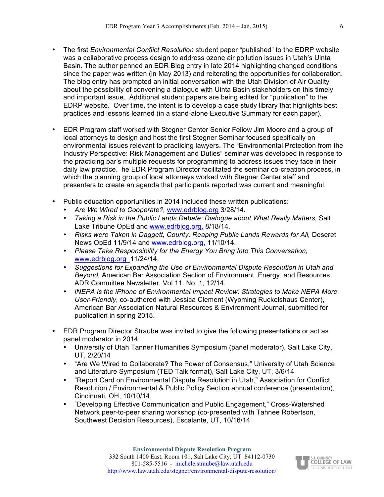- The first *Environmental Conflict Resolution* student paper "published" to the EDRP website was a collaborative process design to address ozone air pollution issues in Utah's Uinta Basin. The author penned an EDR Blog entry in late 2014 highlighting changed conditions since the paper was written (in May 2013) and reiterating the opportunities for collaboration. The blog entry has prompted an initial conversation with the Utah Division of Air Quality about the possibility of convening a dialogue with Uinta Basin stakeholders on this timely and important issue. Additional student papers are being edited for "publication" to the EDRP website. Over time, the intent is to develop a case study library that highlights best practices and lessons learned (in a stand-alone Executive Summary for each paper).
- EDR Program staff worked with Stegner Center Senior Fellow Jim Moore and a group of local attorneys to design and host the first Stegner Seminar focused specifically on environmental issues relevant to practicing lawyers. The "Environmental Protection from the Industry Perspective: Risk Management and Duties" seminar was developed in response to the practicing bar's multiple requests for programming to address issues they face in their daily law practice. he EDR Program Director facilitated the seminar co-creation process, in which the planning group of local attorneys worked with Stegner Center staff and presenters to create an agenda that participants reported was current and meaningful.
- Public education opportunities in 2014 included these written publications:
	- *Are We Wired to Cooperate?,* www.edrblog.org 3/28/14.
	- *Taking a Risk in the Public Lands Debate: Dialogue about What Really Matters,* Salt Lake Tribune OpEd and www.edrblog.org, 8/18/14.
	- Risks were Taken in Daggett, County, Reaping Public Lands Rewards for All, Deseret News OpEd 11/9/14 and www.edrblog.org, 11/10/14.
	- *Please Take Responsibility for the Energy You Bring Into This Conversation,*  www.edrblog.org 11/24/14.
	- *Suggestions for Expanding the Use of Environmental Dispute Resolution in Utah and Beyond,* American Bar Association Section of Environment, Energy, and Resources, ADR Committee Newsletter, Vol 11. No. 1, 12/14.
	- *iNEPA is the iPhone of Environmental Impact Review: Strategies to Make NEPA More User-Friendly*, co-authored with Jessica Clement (Wyoming Ruckelshaus Center), American Bar Association Natural Resources & Environment Journal, submitted for publication in spring 2015.
- EDR Program Director Straube was invited to give the following presentations or act as panel moderator in 2014:
	- University of Utah Tanner Humanities Symposium (panel moderator), Salt Lake City, UT, 2/20/14
	- "Are We Wired to Collaborate? The Power of Consensus," University of Utah Science and Literature Symposium (TED Talk format), Salt Lake City, UT, 3/6/14
	- "Report Card on Environmental Dispute Resolution in Utah," Association for Conflict Resolution / Environmental & Public Policy Section annual conference (presentation), Cincinnati, OH, 10/10/14
	- "Developing Effective Communication and Public Engagement," Cross-Watershed Network peer-to-peer sharing workshop (co-presented with Tahnee Robertson, Southwest Decision Resources), Escalante, UT, 10/16/14

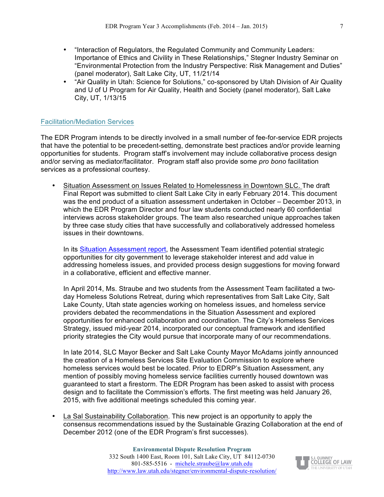- "Interaction of Regulators, the Regulated Community and Community Leaders: Importance of Ethics and Civility in These Relationships," Stegner Industry Seminar on "Environmental Protection from the Industry Perspective: Risk Management and Duties" (panel moderator), Salt Lake City, UT, 11/21/14
- "Air Quality in Utah: Science for Solutions," co-sponsored by Utah Division of Air Quality and U of U Program for Air Quality, Health and Society (panel moderator), Salt Lake City, UT, 1/13/15

### Facilitation/Mediation Services

The EDR Program intends to be directly involved in a small number of fee-for-service EDR projects that have the potential to be precedent-setting, demonstrate best practices and/or provide learning opportunities for students. Program staff's involvement may include collaborative process design and/or serving as mediator/facilitator. Program staff also provide some *pro bono* facilitation services as a professional courtesy.

• Situation Assessment on Issues Related to Homelessness in Downtown SLC. The draft Final Report was submitted to client Salt Lake City in early February 2014. This document was the end product of a situation assessment undertaken in October – December 2013, in which the EDR Program Director and four law students conducted nearly 60 confidential interviews across stakeholder groups. The team also researched unique approaches taken by three case study cities that have successfully and collaboratively addressed homeless issues in their downtowns.

In its Situation Assessment report, the Assessment Team identified potential strategic opportunities for city government to leverage stakeholder interest and add value in addressing homeless issues, and provided process design suggestions for moving forward in a collaborative, efficient and effective manner.

In April 2014, Ms. Straube and two students from the Assessment Team facilitated a twoday Homeless Solutions Retreat, during which representatives from Salt Lake City, Salt Lake County, Utah state agencies working on homeless issues, and homeless service providers debated the recommendations in the Situation Assessment and explored opportunities for enhanced collaboration and coordination. The City's Homeless Services Strategy, issued mid-year 2014, incorporated our conceptual framework and identified priority strategies the City would pursue that incorporate many of our recommendations.

In late 2014, SLC Mayor Becker and Salt Lake County Mayor McAdams jointly announced the creation of a Homeless Services Site Evaluation Commission to explore where homeless services would best be located. Prior to EDRP's Situation Assessment, any mention of possibly moving homeless service facilities currently housed downtown was guaranteed to start a firestorm. The EDR Program has been asked to assist with process design and to facilitate the Commission's efforts. The first meeting was held January 26, 2015, with five additional meetings scheduled this coming year.

• La Sal Sustainability Collaboration. This new project is an opportunity to apply the consensus recommendations issued by the Sustainable Grazing Collaboration at the end of December 2012 (one of the EDR Program's first successes).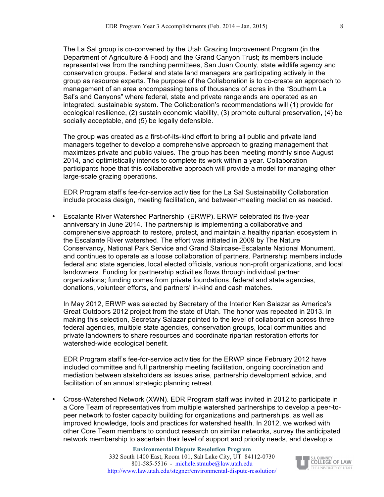The La Sal group is co-convened by the Utah Grazing Improvement Program (in the Department of Agriculture & Food) and the Grand Canyon Trust; its members include representatives from the ranching permittees, San Juan County, state wildlife agency and conservation groups. Federal and state land managers are participating actively in the group as resource experts. The purpose of the Collaboration is to co-create an approach to management of an area encompassing tens of thousands of acres in the "Southern La Sal's and Canyons" where federal, state and private rangelands are operated as an integrated, sustainable system. The Collaboration's recommendations will (1) provide for ecological resilience, (2) sustain economic viability, (3) promote cultural preservation, (4) be socially acceptable, and (5) be legally defensible.

The group was created as a first-of-its-kind effort to bring all public and private land managers together to develop a comprehensive approach to grazing management that maximizes private and public values. The group has been meeting monthly since August 2014, and optimistically intends to complete its work within a year. Collaboration participants hope that this collaborative approach will provide a model for managing other large-scale grazing operations.

EDR Program staff's fee-for-service activities for the La Sal Sustainability Collaboration include process design, meeting facilitation, and between-meeting mediation as needed.

• Escalante River Watershed Partnership (ERWP). ERWP celebrated its five-year anniversary in June 2014. The partnership is implementing a collaborative and comprehensive approach to restore, protect, and maintain a healthy riparian ecosystem in the Escalante River watershed. The effort was initiated in 2009 by The Nature Conservancy, National Park Service and Grand Staircase-Escalante National Monument, and continues to operate as a loose collaboration of partners. Partnership members include federal and state agencies, local elected officials, various non-profit organizations, and local landowners. Funding for partnership activities flows through individual partner organizations; funding comes from private foundations, federal and state agencies, donations, volunteer efforts, and partners' in-kind and cash matches.

In May 2012, ERWP was selected by Secretary of the Interior Ken Salazar as America's Great Outdoors 2012 project from the state of Utah. The honor was repeated in 2013. In making this selection, Secretary Salazar pointed to the level of collaboration across three federal agencies, multiple state agencies, conservation groups, local communities and private landowners to share resources and coordinate riparian restoration efforts for watershed-wide ecological benefit.

EDR Program staff's fee-for-service activities for the ERWP since February 2012 have included committee and full partnership meeting facilitation, ongoing coordination and mediation between stakeholders as issues arise, partnership development advice, and facilitation of an annual strategic planning retreat.

• Cross-Watershed Network (XWN). EDR Program staff was invited in 2012 to participate in a Core Team of representatives from multiple watershed partnerships to develop a peer-topeer network to foster capacity building for organizations and partnerships, as well as improved knowledge, tools and practices for watershed health. In 2012, we worked with other Core Team members to conduct research on similar networks, survey the anticipated network membership to ascertain their level of support and priority needs, and develop a